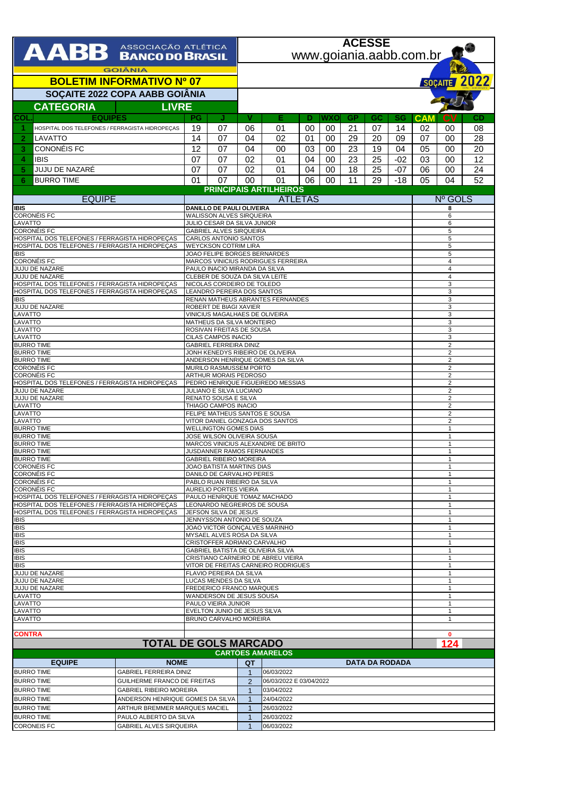|                                                                                                  |                                                               |                                                         | <b>ACESSE</b>                                                      |                                  |                                       |                    |              |           |    |                       |                     |                              |    |  |  |
|--------------------------------------------------------------------------------------------------|---------------------------------------------------------------|---------------------------------------------------------|--------------------------------------------------------------------|----------------------------------|---------------------------------------|--------------------|--------------|-----------|----|-----------------------|---------------------|------------------------------|----|--|--|
| AABB ASSOCIAÇÃO ATLÉTICA                                                                         |                                                               |                                                         |                                                                    | www.goiania.aabb.com.br          |                                       |                    |              |           |    |                       |                     |                              |    |  |  |
|                                                                                                  |                                                               |                                                         |                                                                    |                                  |                                       |                    |              |           |    |                       |                     |                              |    |  |  |
| <b>GOIÂNIA</b><br><b>BOLETIM INFORMATIVO Nº 07</b>                                               |                                                               |                                                         |                                                                    |                                  |                                       |                    |              |           |    |                       |                     |                              |    |  |  |
|                                                                                                  |                                                               |                                                         |                                                                    |                                  |                                       |                    | SOÇAITE 2022 |           |    |                       |                     |                              |    |  |  |
| SOÇAITE 2022 COPA AABB GOIÂNIA                                                                   |                                                               |                                                         |                                                                    |                                  |                                       |                    |              |           |    |                       |                     |                              |    |  |  |
| <b>CATEGORIA</b>                                                                                 | <b>LIVRE</b>                                                  |                                                         |                                                                    |                                  |                                       |                    |              |           |    |                       |                     |                              |    |  |  |
| <b>EQUIPES</b><br>COL                                                                            |                                                               | PG                                                      | J                                                                  | v                                | Е                                     | Ð                  | wxo          | <b>GP</b> | GC | SG                    | <b>CAM</b>          | CV                           | CD |  |  |
| -1<br>HOSPITAL DOS TELEFONES / FERRAGISTA HIDROPECAS                                             |                                                               | 19                                                      | 07                                                                 | 06                               | 01                                    | 00                 | 00           | 21        | 07 | 14                    | 02                  | 00                           | 08 |  |  |
| LAVATTO<br>2                                                                                     |                                                               | 14                                                      | 07                                                                 | 04                               | 02                                    | 01                 | 00           | 29        | 20 | 09                    | 07                  | 00                           | 28 |  |  |
| CONONÉIS FC<br>3                                                                                 |                                                               | 12                                                      | 07                                                                 | 04                               | 00                                    | 03                 | 00           | 23        | 19 | 04                    | 05                  | 00                           | 20 |  |  |
| 4<br><b>IBIS</b>                                                                                 |                                                               | 07                                                      | 07                                                                 | 02                               | 01                                    | 04                 | 00           | 23        | 25 | $-02$                 | 03                  | 00                           | 12 |  |  |
| JUJU DE NAZARÉ<br>5                                                                              |                                                               | 07                                                      | 07                                                                 | 02                               | 01                                    | 04                 | 00           | 18        | 25 | $-07$                 | 06                  | 00                           | 24 |  |  |
| <b>BURRO TIME</b><br>6                                                                           |                                                               | 01                                                      | 07                                                                 | 00                               | 01                                    | 06                 | 00           | 11        | 29 | $-18$                 | 05                  | 04                           | 52 |  |  |
|                                                                                                  |                                                               |                                                         |                                                                    |                                  | <b>PRINCIPAIS ARTILHEIROS</b>         |                    |              |           |    |                       |                     |                              |    |  |  |
| <b>EQUIPE</b><br><b>IBIS</b>                                                                     |                                                               | <b>ATLETAS</b><br>DANILLO DE PAULI OLIVEIRA             |                                                                    |                                  |                                       |                    |              |           |    |                       | <b>Nº GOLS</b><br>8 |                              |    |  |  |
| <b>CORONÉIS FC</b>                                                                               |                                                               |                                                         |                                                                    | WALISSON ALVES SIRQUEIRA         |                                       |                    |              |           |    |                       | 6                   |                              |    |  |  |
| LAVATTO                                                                                          | JULIO CESAR DA SILVA JUNIOR                                   |                                                         |                                                                    |                                  |                                       |                    |              |           |    |                       | 6                   |                              |    |  |  |
| <b>CORONÉIS FC</b><br>HOSPITAL DOS TELEFONES / FERRAGISTA HIDROPEÇAS                             |                                                               | <b>GABRIEL ALVES SIRQUEIRA</b><br>CARLOS ANTONIO SANTOS |                                                                    |                                  |                                       |                    |              |           |    |                       |                     | 5<br>5                       |    |  |  |
| HOSPITAL DOS TELEFONES / FERRAGISTA HIDROPECAS                                                   |                                                               |                                                         | <b>WEYCKSON COTRIM LIRA</b>                                        |                                  |                                       |                    |              |           |    |                       |                     |                              | 5  |  |  |
| <b>IBIS</b><br><b>CORONÉIS FC</b>                                                                |                                                               |                                                         | JOAO FELIPE BORGES BERNARDES<br>MARCOS VINICIUS RODRIGUES FERREIRA | 5                                |                                       |                    |              |           |    |                       |                     |                              |    |  |  |
| JUJU DE NAZARE                                                                                   |                                                               |                                                         | PAULO INACIO MIRANDA DA SILVA                                      | $\overline{4}$<br>$\overline{4}$ |                                       |                    |              |           |    |                       |                     |                              |    |  |  |
| JUJU DE NAZARE                                                                                   |                                                               |                                                         | CLEBER DE SOUZA DA SILVA LEITE                                     | $\overline{4}$                   |                                       |                    |              |           |    |                       |                     |                              |    |  |  |
| HOSPITAL DOS TELEFONES / FERRAGISTA HIDROPEÇAS<br>HOSPITAL DOS TELEFONES / FERRAGISTA HIDROPEÇAS |                                                               |                                                         | NICOLAS CORDEIRO DE TOLEDO<br>LEANDRO PEREIRA DOS SANTOS           | 3<br>3                           |                                       |                    |              |           |    |                       |                     |                              |    |  |  |
| <b>IBIS</b>                                                                                      |                                                               |                                                         | RENAN MATHEUS ABRANTES FERNANDES                                   | 3                                |                                       |                    |              |           |    |                       |                     |                              |    |  |  |
| <b>JUJU DE NAZARE</b><br>LAVATTO                                                                 |                                                               |                                                         | ROBERT DE BIAGI XAVIER<br>VINICIUS MAGALHAES DE OLIVEIRA           |                                  | 3<br>3                                |                    |              |           |    |                       |                     |                              |    |  |  |
| LAVATTO                                                                                          |                                                               |                                                         | MATHEUS DA SILVA MONTEIRO                                          |                                  | 3                                     |                    |              |           |    |                       |                     |                              |    |  |  |
| LAVATTO                                                                                          |                                                               |                                                         | ROSIVAN FREITAS DE SOUSA                                           |                                  | 3                                     |                    |              |           |    |                       |                     |                              |    |  |  |
| LAVATTO<br><b>BURRO TIME</b>                                                                     |                                                               |                                                         | CILAS CAMPOS INACIO<br><b>GABRIEL FERREIRA DINIZ</b>               |                                  | 3<br>$\overline{2}$                   |                    |              |           |    |                       |                     |                              |    |  |  |
| <b>BURRO TIME</b>                                                                                |                                                               |                                                         | JONH KENEDYS RIBEIRO DE OLIVEIRA                                   | $\overline{2}$                   |                                       |                    |              |           |    |                       |                     |                              |    |  |  |
| <b>BURRO TIME</b><br><b>CORONÉIS FC</b>                                                          |                                                               |                                                         | ANDERSON HENRIQUE GOMES DA SILVA<br>MURILO RASMUSSEM PORTO         | $\overline{2}$<br>$\overline{2}$ |                                       |                    |              |           |    |                       |                     |                              |    |  |  |
| <b>CORONÉIS FC</b>                                                                               |                                                               |                                                         | ARTHUR MORAIS PEDROSO                                              | $\overline{2}$                   |                                       |                    |              |           |    |                       |                     |                              |    |  |  |
| HOSPITAL DOS TELEFONES / FERRAGISTA HIDROPEÇAS                                                   |                                                               |                                                         | PEDRO HENRIQUE FIGUEIREDO MESSIAS                                  | $\sqrt{2}$                       |                                       |                    |              |           |    |                       |                     |                              |    |  |  |
| JUJU DE NAZARE<br>JUJU DE NAZARE                                                                 |                                                               |                                                         | JULIANO E SILVA LUCIANO<br>RENATO SOUSA E SILVA                    | $\overline{2}$<br>$\overline{2}$ |                                       |                    |              |           |    |                       |                     |                              |    |  |  |
| LAVATTO                                                                                          |                                                               |                                                         | THIAGO CAMPOS INACIO                                               | $\overline{2}$                   |                                       |                    |              |           |    |                       |                     |                              |    |  |  |
| LAVATTO<br>LAVATTO                                                                               |                                                               |                                                         | FELIPE MATHEUS SANTOS E SOUSA<br>VITOR DANIEL GONZAGA DOS SANTOS   |                                  | $\overline{2}$<br>$\overline{2}$      |                    |              |           |    |                       |                     |                              |    |  |  |
| <b>BURRO TIME</b>                                                                                |                                                               |                                                         | <b>WELLINGTON GOMES DIAS</b>                                       |                                  |                                       | $\mathbf{1}$       |              |           |    |                       |                     |                              |    |  |  |
| <b>BURRO TIME</b>                                                                                |                                                               |                                                         | JOSE WILSON OLIVEIRA SOUSA                                         |                                  | 1<br>-1                               |                    |              |           |    |                       |                     |                              |    |  |  |
| <b>BURRO TIME</b><br><b>BURRO TIME</b>                                                           |                                                               |                                                         | MARCOS VINICIUS ALEXANDRE DE BRITO<br>JUSDANNER RAMOS FERNANDES    |                                  | 1                                     |                    |              |           |    |                       |                     |                              |    |  |  |
| <b>BURRO TIME</b>                                                                                |                                                               |                                                         | GABRIEL RIBEIRO MOREIRA                                            |                                  | н.                                    |                    |              |           |    |                       |                     |                              |    |  |  |
| <b>CORONÉIS FC</b><br><b>CORONÉIS FC</b>                                                         |                                                               |                                                         | JOAO BATISTA MARTINS DIAS<br>DANILO DE CARVALHO PERES              |                                  | $\mathbf{1}$<br>$\mathbf{1}$          |                    |              |           |    |                       |                     |                              |    |  |  |
| <b>CORONÉIS FC</b>                                                                               |                                                               |                                                         | PABLO RUAN RIBEIRO DA SILVA                                        |                                  | $\mathbf{1}$                          |                    |              |           |    |                       |                     |                              |    |  |  |
| <b>CORONÉIS FC</b>                                                                               |                                                               |                                                         | AURELIO PORTES VIEIRA<br>PAULO HENRIQUE TOMAZ MACHADO              |                                  | $\mathbf{1}$<br>$\mathbf{1}$          |                    |              |           |    |                       |                     |                              |    |  |  |
| HOSPITAL DOS TELEFONES / FERRAGISTA HIDROPEÇAS<br>HOSPITAL DOS TELEFONES / FERRAGISTA HIDROPEÇAS |                                                               |                                                         |                                                                    |                                  | LEONARDO NEGREIROS DE SOUSA           |                    |              |           |    |                       |                     | $\mathbf{1}$                 |    |  |  |
| HOSPITAL DOS TELEFONES / FERRAGISTA HIDROPEÇAS                                                   |                                                               |                                                         | JEFSON SILVA DE JESUS                                              |                                  |                                       | $\mathbf{1}$       |              |           |    |                       |                     |                              |    |  |  |
| <b>IBIS</b><br><b>IBIS</b>                                                                       |                                                               |                                                         | JENNYSSON ANTONIO DE SOUZA<br>JOAO VICTOR GONÇALVES MARINHO        |                                  |                                       | 1<br>$\mathbf{1}$  |              |           |    |                       |                     |                              |    |  |  |
| <b>IBIS</b>                                                                                      |                                                               |                                                         | MYSAEL ALVES ROSA DA SILVA                                         |                                  |                                       | $\overline{1}$     |              |           |    |                       |                     |                              |    |  |  |
| <b>IBIS</b>                                                                                      |                                                               |                                                         | CRISTOFFER ADRIANO CARVALHO<br>GABRIEL BATISTA DE OLIVEIRA SILVA   |                                  |                                       | $\mathbf{1}$<br>-1 |              |           |    |                       |                     |                              |    |  |  |
| <b>IBIS</b><br><b>IBIS</b>                                                                       |                                                               |                                                         | CRISTIANO CARNEIRO DE ABREU VIEIRA                                 |                                  |                                       | $\mathbf{1}$       |              |           |    |                       |                     |                              |    |  |  |
| <b>IBIS</b>                                                                                      |                                                               |                                                         | VITOR DE FREITAS CARNEIRO RODRIGUES                                |                                  |                                       | $\mathbf{1}$       |              |           |    |                       |                     |                              |    |  |  |
| JUJU DE NAZARE<br>JUJU DE NAZARE                                                                 |                                                               |                                                         | FLAVIO PEREIRA DA SILVA<br>LUCAS MENDES DA SILVA                   |                                  |                                       | -1<br>$\mathbf{1}$ |              |           |    |                       |                     |                              |    |  |  |
| JUJU DE NAZARE                                                                                   |                                                               |                                                         | FREDERICO FRANCO MARQUES                                           |                                  |                                       |                    |              |           |    |                       |                     | $\mathbf{1}$                 |    |  |  |
| LAVATTO<br>LAVATTO                                                                               |                                                               |                                                         | WANDERSON DE JESUS SOUSA<br>PAULO VIEIRA JUNIOR                    |                                  |                                       |                    |              |           |    |                       |                     | $\mathbf{1}$<br>$\mathbf{1}$ |    |  |  |
| LAVATTO                                                                                          |                                                               |                                                         | EVELTON JUNIO DE JESUS SILVA                                       |                                  |                                       |                    |              |           |    |                       |                     | $\mathbf{1}$                 |    |  |  |
| LAVATTO<br>BRUNO CARVALHO MOREIRA                                                                |                                                               |                                                         |                                                                    |                                  |                                       |                    |              |           |    |                       |                     | 1                            |    |  |  |
| <b>CONTRA</b>                                                                                    |                                                               |                                                         |                                                                    |                                  |                                       |                    |              |           |    |                       |                     | $\mathbf{0}$                 |    |  |  |
|                                                                                                  |                                                               |                                                         |                                                                    | <b>TOTAL DE GOLS MARCADO</b>     |                                       |                    |              |           |    |                       | 124                 |                              |    |  |  |
|                                                                                                  |                                                               |                                                         |                                                                    |                                  | <b>CARTÕES AMARELOS</b>               |                    |              |           |    |                       |                     |                              |    |  |  |
| <b>EQUIPE</b>                                                                                    | <b>NOME</b>                                                   |                                                         |                                                                    | QT                               |                                       |                    |              |           |    | <b>DATA DA RODADA</b> |                     |                              |    |  |  |
| <b>BURRO TIME</b>                                                                                | <b>GABRIEL FERREIRA DINIZ</b>                                 | 06/03/2022<br>$\mathbf{1}$                              |                                                                    |                                  |                                       |                    |              |           |    |                       |                     |                              |    |  |  |
| <b>BURRO TIME</b><br><b>BURRO TIME</b>                                                           | GUILHERME FRANCO DE FREITAS<br><b>GABRIEL RIBEIRO MOREIRA</b> |                                                         |                                                                    | $\overline{2}$<br>$\mathbf{1}$   | 06/03/2022 E 03/04/2022<br>03/04/2022 |                    |              |           |    |                       |                     |                              |    |  |  |
| <b>BURRO TIME</b>                                                                                | ANDERSON HENRIQUE GOMES DA SILVA                              |                                                         |                                                                    | $\mathbf{1}$                     | 24/04/2022                            |                    |              |           |    |                       |                     |                              |    |  |  |

BURRO TIME ARTHUR BREMMER MARQUES MACIEL 1 26/03/2022<br>BURRO TIME PAULO ALBERTO DA SILVA 1 26/03/2022<br>CORONEIS FC GABRIEL ALVES SIRQUEIRA 1 06/03/2022 BURRO TIME PAULO ALBERTO DA SILVA 1 26/03/2022 CORONEIS FC GABRIEL ALVES SIRQUEIRA 1 06/03/2022